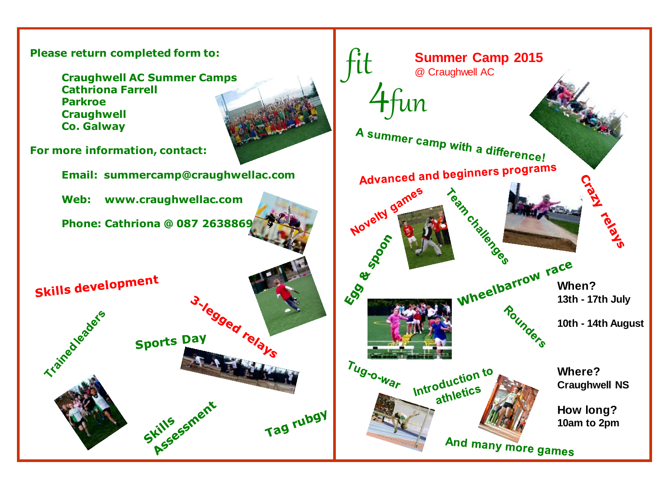